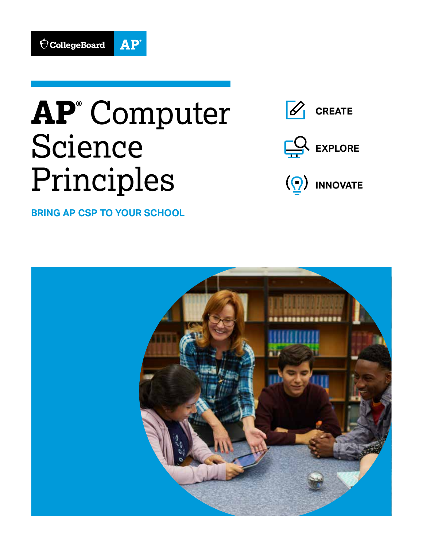

## **AP ®** Computer Science Principles

**BRING AP CSP TO YOUR SCHOOL** 





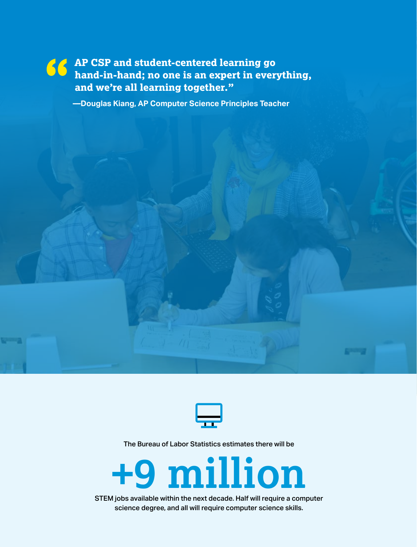**AP CSP and student-centered learning go hand-in-hand; no one is an expert in everything, and we're all learning together."** 

**—Douglas Kiang, AP Computer Science Principles Teacher** 



The Bureau of Labor Statistics estimates there will be

# **+9 million**

STEM jobs available within the next decade. Half will require a computer science degree, and all will require computer science skills.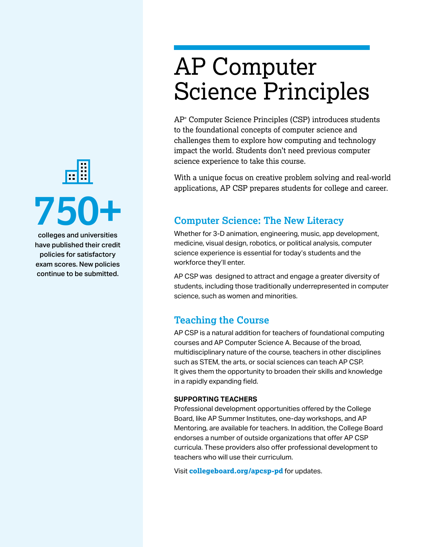# **750+**

colleges and universities have published their credit policies for satisfactory exam scores. New policies continue to be submitted.

### AP Computer Science Principles

AP® Computer Science Principles (CSP) introduces students to the foundational concepts of computer science and challenges them to explore how computing and technology impact the world. Students don't need previous computer science experience to take this course.

With a unique focus on creative problem solving and real-world applications, AP CSP prepares students for college and career.

#### **Computer Science: The New Literacy**

Whether for 3-D animation, engineering, music, app development, medicine, visual design, robotics, or political analysis, computer science experience is essential for today's students and the workforce they'll enter.

AP CSP was designed to attract and engage a greater diversity of students, including those traditionally underrepresented in computer science, such as women and minorities.

#### **Teaching the Course**

AP CSP is a natural addition for teachers of foundational computing courses and AP Computer Science A. Because of the broad, multidisciplinary nature of the course, teachers in other disciplines such as STEM, the arts, or social sciences can teach AP CSP. It gives them the opportunity to broaden their skills and knowledge in a rapidly expanding field.

#### **SUPPORTING TEACHERS**

Professional development opportunities offered by the College Board, like AP Summer Institutes, one-day workshops, and AP Mentoring, are available for teachers. In addition, the College Board endorses a number of outside organizations that offer AP CSP curricula. These providers also offer professional development to teachers who will use their curriculum.

Visit **[collegeboard.org/apcsp-pd](https://collegeboard.org/apcsp-pd)** for updates.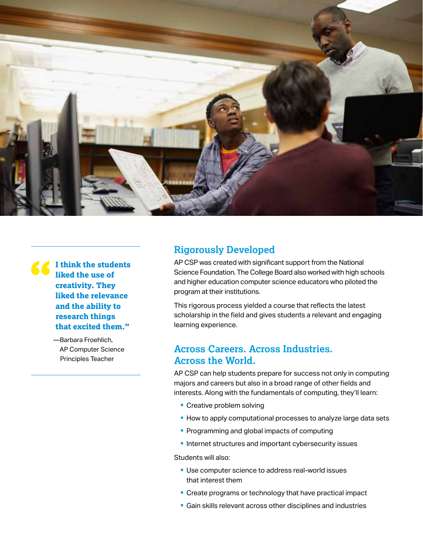

**I think the students liked the use of creativity. They liked the relevance and the ability to research things that excited them."** 

> —Barbara Froehlich, AP Computer Science Principles Teacher

#### **Rigorously Developed**

 Science Foundation. The College Board also worked with high schools AP CSP was created with significant support from the National and higher education computer science educators who piloted the program at their institutions.

This rigorous process yielded a course that reflects the latest scholarship in the field and gives students a relevant and engaging learning experience.

#### **Across Careers. Across Industries. Across the World.**

AP CSP can help students prepare for success not only in computing majors and careers but also in a broad range of other fields and interests. Along with the fundamentals of computing, they'll learn:

- § Creative problem solving
- How to apply computational processes to analyze large data sets
- Programming and global impacts of computing
- Internet structures and important cybersecurity issues

Students will also:

- Use computer science to address real-world issues that interest them
- Create programs or technology that have practical impact
- Gain skills relevant across other disciplines and industries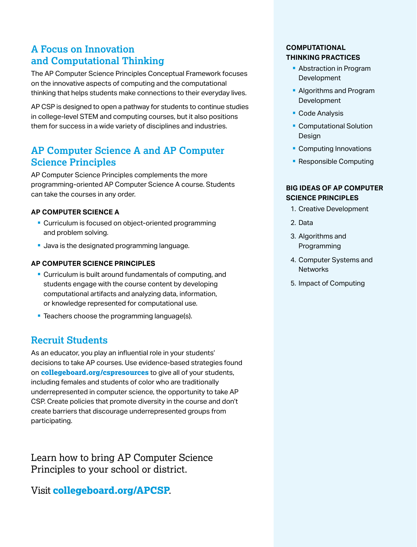#### **A Focus on Innovation and Computational Thinking**

The AP Computer Science Principles Conceptual Framework focuses on the innovative aspects of computing and the computational thinking that helps students make connections to their everyday lives.

AP CSP is designed to open a pathway for students to continue studies in college-level STEM and computing courses, but it also positions them for success in a wide variety of disciplines and industries.

#### **AP Computer Science A and AP Computer Science Principles**

AP Computer Science Principles complements the more programming-oriented AP Computer Science A course. Students can take the courses in any order.

#### **AP COMPUTER SCIENCE A**

- Curriculum is focused on object-oriented programming and problem solving.
- Java is the designated programming language.

#### **AP COMPUTER SCIENCE PRINCIPLES**

- Curriculum is built around fundamentals of computing, and students engage with the course content by developing computational artifacts and analyzing data, information, or knowledge represented for computational use.
- Teachers choose the programming language(s).

#### **Recruit Students**

As an educator, you play an influential role in your students' decisions to take AP courses. Use evidence-based strategies found on **[collegeboard.org/cspresources](https://collegeboard.org/cspresources)** to give all of your students, including females and students of color who are traditionally underrepresented in computer science, the opportunity to take AP CSP. Create policies that promote diversity in the course and don't create barriers that discourage underrepresented groups from participating.

Learn how to bring AP Computer Science Principles to your school or district.

Visit **[collegeboard.org/APCSP](https://collegeboard.org/APCSP)**.

#### **COMPUTATIONAL THINKING PRACTICES**

- **Abstraction in Program** Development
- § Algorithms and Program Development
- Code Analysis
- Computational Solution Design
- § Computing Innovations
- Responsible Computing

#### **BIG IDEAS OF AP COMPUTER SCIENCE PRINCIPLES**

- 1. Creative Development
- 2. Data
- 3. Algorithms and Programming
- 4. Computer Systems and Networks
- 5. Impact of Computing